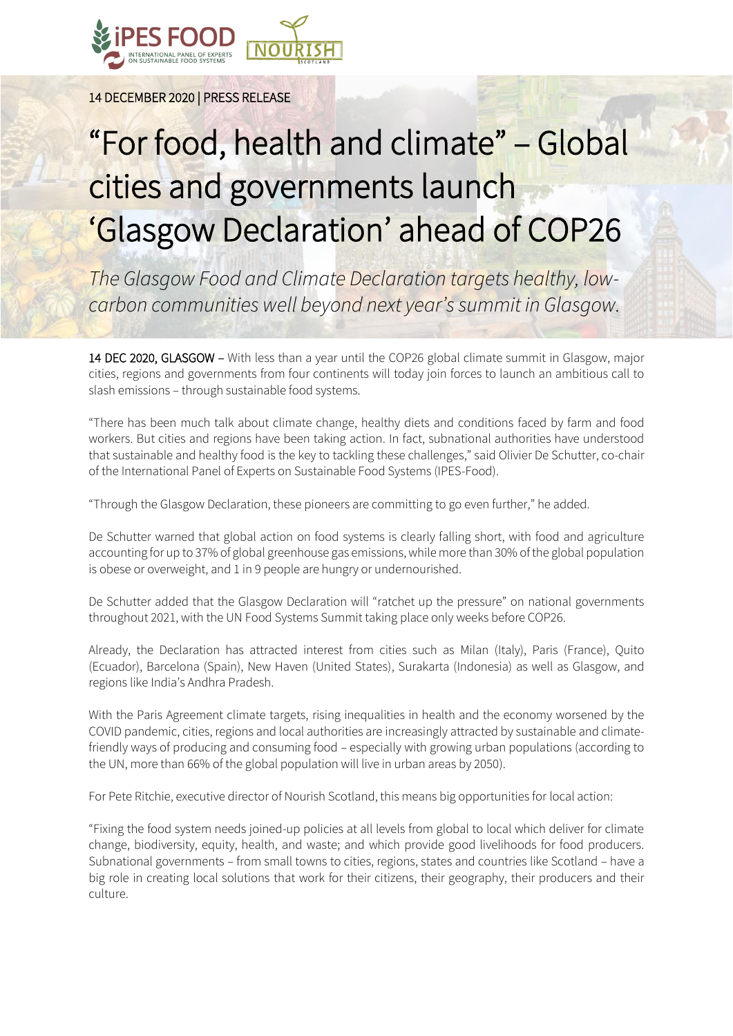

14 DECEMBER 2020 | PRESS RELEASE

## "For food, health and climate" – Global cities and governments launch 'Glasgow Declaration' ahead of COP26

*The Glasgow Food and Climate Declaration targets healthy, lowcarbon communities well beyond next year's summit in Glasgow.*

14 DEC 2020, GLASGOW – With less than a year until the COP26 global climate summit in Glasgow, major cities, regions and governments from four continents will today join forces to launch an ambitious call to slash emissions – through sustainable food systems.

"There has been much talk about climate change, healthy diets and conditions faced by farm and food workers. But cities and regions have been taking action. In fact, subnational authorities have understood that sustainable and healthy food is the key to tackling these challenges," said Olivier De Schutter, co-chair of the International Panel of Experts on Sustainable Food Systems (IPES-Food).

"Through the Glasgow Declaration, these pioneers are committing to go even further," he added.

De Schutter warned that global action on food systems is clearly falling short, with food and agriculture accounting for up to 37% of global greenhouse gas emissions, while more than 30% of the global population is obese or overweight, and 1 in 9 people are hungry or undernourished.

De Schutter added that the Glasgow Declaration will "ratchet up the pressure" on national governments throughout 2021, with the UN Food Systems Summit taking place only weeks before COP26.

Already, the Declaration has attracted interest from cities such as Milan (Italy), Paris (France), Quito (Ecuador), Barcelona (Spain), New Haven (United States), Surakarta (Indonesia) as well as Glasgow, and regions like India's Andhra Pradesh.

With the Paris Agreement climate targets, rising inequalities in health and the economy worsened by the COVID pandemic, cities, regions and local authorities are increasingly attracted by sustainable and climatefriendly ways of producing and consuming food – especially with growing urban populations (according to the UN, more than 66% of the global population will live in urban areas by 2050).

For Pete Ritchie, executive director of Nourish Scotland, this means big opportunities for local action:

"Fixing the food system needs joined-up policies at all levels from global to local which deliver for climate change, biodiversity, equity, health, and waste; and which provide good livelihoods for food producers. Subnational governments – from small towns to cities, regions, states and countries like Scotland – have a big role in creating local solutions that work for their citizens, their geography, their producers and their culture.